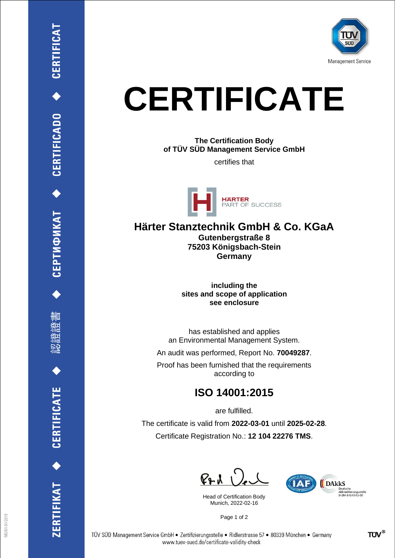

## **CERTIFICATE**

**The Certification Body of TÜV SÜD Management Service GmbH**

certifies that



**Härter Stanztechnik GmbH & Co. KGaA Gutenbergstraße 8 75203 Königsbach-Stein**

**Germany**

**including the sites and scope of application see enclosure**

has established and applies an Environmental Management System.

An audit was performed, Report No. **70049287**.

Proof has been furnished that the requirements according to

## **ISO 14001:2015**

are fulfilled.

The certificate is valid from **2022-03-01** until **2025-02-28**. Certificate Registration No.: **12 104 22276 TMS**.

 $P + U$ 

Head of Certification Body Munich, 2022-02-16



Page 1 of 2

CEPTИФИКАТ ◆ CERTIFICADO ◆ CERTIFICAT

ĦШ

**CERTIFICATE** 

ERTIFIKAT<sup>+</sup>

**TÜV®**